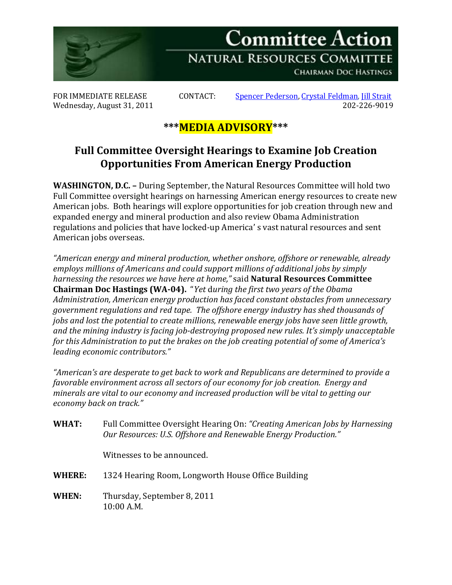

Wednesday, August 31, 2011

FOR IMMEDIATE RELEASE CONTACT: [Spencer Pederson,](mailto:spencer.pederson@mail.house.gov) [Crystal Feldman,](mailto:crystal.feldman@mail.house.gov) [Jill Strait](mailto:jill.strait@mail.house.gov)<br>Wednesday, August 31, 2011

## **\*\*\*MEDIA ADVISORY\*\*\***

## **Full Committee Oversight Hearings to Examine Job Creation Opportunities From American Energy Production**

**WASHINGTON, D.C. –** During September, the Natural Resources Committee will hold two Full Committee oversight hearings on harnessing American energy resources to create new American jobs. Both hearings will explore opportunities for job creation through new and expanded energy and mineral production and also review Obama Administration regulations and policies that have locked-up America' s vast natural resources and sent American jobs overseas.

*"American energy and mineral production, whether onshore, offshore or renewable, already employs millions of Americans and could support millions of additional jobs by simply harnessing the resources we have here at home,"* said **Natural Resources Committee Chairman Doc Hastings (WA-04).** "*Yet* d*uring the first two years of the Obama Administration, American energy production has faced constant obstacles from unnecessary government regulations and red tape. The offshore energy industry has shed thousands of jobs and lost the potential to create millions, renewable energy jobs have seen little growth, and the mining industry is facing job-destroying proposed new rules. It's simply unacceptable for this Administration to put the brakes on the job creating potential of some of America's leading economic contributors."*

*"American's are desperate to get back to work and Republicans are determined to provide a favorable environment across all sectors of our economy for job creation. Energy and minerals are vital to our economy and increased production will be vital to getting our economy back on track."* 

**WHAT:** Full Committee Oversight Hearing On: *"Creating American Jobs by Harnessing Our Resources: U.S. Offshore and Renewable Energy Production."*

Witnesses to be announced.

**WHERE:** 1324 Hearing Room, Longworth House Office Building

**WHEN:** Thursday, September 8, 2011 10:00 A.M.